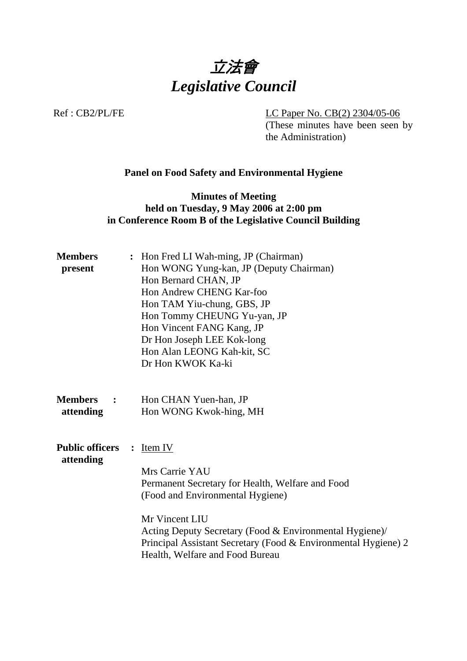

Ref : CB2/PL/FE LC Paper No. CB(2) 2304/05-06

(These minutes have been seen by the Administration)

## **Panel on Food Safety and Environmental Hygiene**

## **Minutes of Meeting held on Tuesday, 9 May 2006 at 2:00 pm in Conference Room B of the Legislative Council Building**

| <b>Members</b><br>present                     | Hon Fred LI Wah-ming, JP (Chairman)<br>$\ddot{\cdot}$<br>Hon WONG Yung-kan, JP (Deputy Chairman)<br>Hon Bernard CHAN, JP<br>Hon Andrew CHENG Kar-foo<br>Hon TAM Yiu-chung, GBS, JP<br>Hon Tommy CHEUNG Yu-yan, JP<br>Hon Vincent FANG Kang, JP<br>Dr Hon Joseph LEE Kok-long<br>Hon Alan LEONG Kah-kit, SC<br>Dr Hon KWOK Ka-ki |
|-----------------------------------------------|---------------------------------------------------------------------------------------------------------------------------------------------------------------------------------------------------------------------------------------------------------------------------------------------------------------------------------|
| <b>Members</b><br>$\ddot{\cdot}$<br>attending | Hon CHAN Yuen-han, JP<br>Hon WONG Kwok-hing, MH                                                                                                                                                                                                                                                                                 |
| <b>Public officers</b><br>attending           | Item IV<br>$\ddot{\cdot}$<br>Mrs Carrie YAU<br>Permanent Secretary for Health, Welfare and Food<br>(Food and Environmental Hygiene)<br>Mr Vincent LIU<br>Acting Deputy Secretary (Food & Environmental Hygiene)/<br>Principal Assistant Secretary (Food & Environmental Hygiene) 2<br>Health, Welfare and Food Bureau           |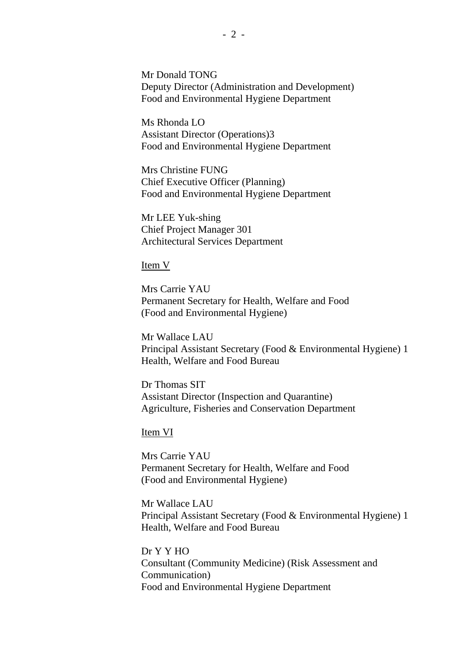Mr Donald TONG Deputy Director (Administration and Development) Food and Environmental Hygiene Department

Ms Rhonda LO Assistant Director (Operations)3 Food and Environmental Hygiene Department

Mrs Christine FUNG Chief Executive Officer (Planning) Food and Environmental Hygiene Department

Mr LEE Yuk-shing Chief Project Manager 301 Architectural Services Department

#### Item V

Mrs Carrie YAU Permanent Secretary for Health, Welfare and Food (Food and Environmental Hygiene)

Mr Wallace LAU Principal Assistant Secretary (Food & Environmental Hygiene) 1 Health, Welfare and Food Bureau

Dr Thomas SIT Assistant Director (Inspection and Quarantine) Agriculture, Fisheries and Conservation Department

Item VI

Mrs Carrie YAU Permanent Secretary for Health, Welfare and Food (Food and Environmental Hygiene)

Mr Wallace LAU Principal Assistant Secretary (Food & Environmental Hygiene) 1 Health, Welfare and Food Bureau

Dr Y Y HO Consultant (Community Medicine) (Risk Assessment and Communication) Food and Environmental Hygiene Department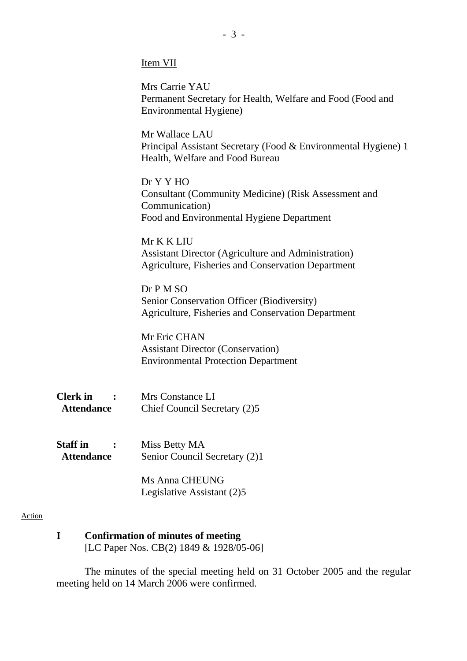| <b>I</b> tem |
|--------------|
|--------------|

|                                                                                                     | Mrs Carrie YAU<br>Permanent Secretary for Health, Welfare and Food (Food and<br>Environmental Hygiene)                                  |
|-----------------------------------------------------------------------------------------------------|-----------------------------------------------------------------------------------------------------------------------------------------|
|                                                                                                     | Mr Wallace LAU<br>Principal Assistant Secretary (Food & Environmental Hygiene) 1<br>Health, Welfare and Food Bureau                     |
|                                                                                                     | Dr Y Y HO<br><b>Consultant (Community Medicine) (Risk Assessment and</b><br>Communication)<br>Food and Environmental Hygiene Department |
|                                                                                                     | Mr K K LIU<br><b>Assistant Director (Agriculture and Administration)</b><br><b>Agriculture, Fisheries and Conservation Department</b>   |
|                                                                                                     | Dr P M SO<br>Senior Conservation Officer (Biodiversity)<br>Agriculture, Fisheries and Conservation Department                           |
|                                                                                                     | Mr Eric CHAN<br><b>Assistant Director (Conservation)</b><br><b>Environmental Protection Department</b>                                  |
| <b>Clerk</b> in<br>$\mathcal{L}^{\text{max}}$ . The $\mathcal{L}^{\text{max}}$<br><b>Attendance</b> | Mrs Constance LI<br>Chief Council Secretary (2)5                                                                                        |
| <b>Staff</b> in<br><b>Attendance</b>                                                                | Miss Betty MA<br>Senior Council Secretary (2)1                                                                                          |
|                                                                                                     | <b>Ms Anna CHEUNG</b><br>Legislative Assistant (2)5                                                                                     |

#### Action

**I Confirmation of minutes of meeting** 

[LC Paper Nos. CB(2) 1849 & 1928/05-06]

The minutes of the special meeting held on 31 October 2005 and the regular meeting held on 14 March 2006 were confirmed.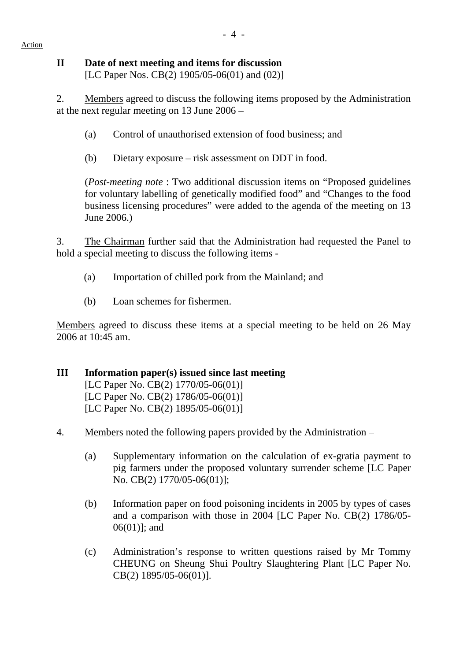Action

## **II Date of next meeting and items for discussion**

[LC Paper Nos. CB(2) 1905/05-06(01) and (02)]

2. Members agreed to discuss the following items proposed by the Administration at the next regular meeting on 13 June 2006 –

- (a) Control of unauthorised extension of food business; and
- (b) Dietary exposure risk assessment on DDT in food.

(*Post-meeting note* : Two additional discussion items on "Proposed guidelines for voluntary labelling of genetically modified food" and "Changes to the food business licensing procedures" were added to the agenda of the meeting on 13 June 2006.)

3. The Chairman further said that the Administration had requested the Panel to hold a special meeting to discuss the following items -

- (a) Importation of chilled pork from the Mainland; and
- (b) Loan schemes for fishermen.

Members agreed to discuss these items at a special meeting to be held on 26 May 2006 at 10:45 am.

## **III Information paper(s) issued since last meeting**

[LC Paper No. CB(2) 1770/05-06(01)] [LC Paper No. CB(2) 1786/05-06(01)] [LC Paper No. CB(2) 1895/05-06(01)]

- 4. Members noted the following papers provided by the Administration
	- (a) Supplementary information on the calculation of ex-gratia payment to pig farmers under the proposed voluntary surrender scheme [LC Paper No. CB(2) 1770/05-06(01)];
	- (b) Information paper on food poisoning incidents in 2005 by types of cases and a comparison with those in 2004 [LC Paper No. CB(2) 1786/05- 06(01)]; and
	- (c) Administration's response to written questions raised by Mr Tommy CHEUNG on Sheung Shui Poultry Slaughtering Plant [LC Paper No. CB(2) 1895/05-06(01)].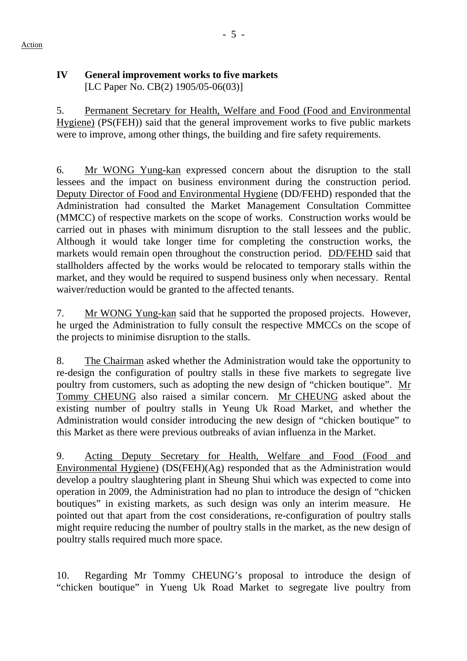# **IV General improvement works to five markets**

[LC Paper No. CB(2) 1905/05-06(03)]

5. Permanent Secretary for Health, Welfare and Food (Food and Environmental Hygiene) (PS(FEH)) said that the general improvement works to five public markets were to improve, among other things, the building and fire safety requirements.

6. Mr WONG Yung-kan expressed concern about the disruption to the stall lessees and the impact on business environment during the construction period. Deputy Director of Food and Environmental Hygiene (DD/FEHD) responded that the Administration had consulted the Market Management Consultation Committee (MMCC) of respective markets on the scope of works. Construction works would be carried out in phases with minimum disruption to the stall lessees and the public. Although it would take longer time for completing the construction works, the markets would remain open throughout the construction period. DD/FEHD said that stallholders affected by the works would be relocated to temporary stalls within the market, and they would be required to suspend business only when necessary. Rental waiver/reduction would be granted to the affected tenants.

7. Mr WONG Yung-kan said that he supported the proposed projects. However, he urged the Administration to fully consult the respective MMCCs on the scope of the projects to minimise disruption to the stalls.

8. The Chairman asked whether the Administration would take the opportunity to re-design the configuration of poultry stalls in these five markets to segregate live poultry from customers, such as adopting the new design of "chicken boutique". Mr Tommy CHEUNG also raised a similar concern. Mr CHEUNG asked about the existing number of poultry stalls in Yeung Uk Road Market, and whether the Administration would consider introducing the new design of "chicken boutique" to this Market as there were previous outbreaks of avian influenza in the Market.

9. Acting Deputy Secretary for Health, Welfare and Food (Food and Environmental Hygiene) (DS(FEH)(Ag) responded that as the Administration would develop a poultry slaughtering plant in Sheung Shui which was expected to come into operation in 2009, the Administration had no plan to introduce the design of "chicken boutiques" in existing markets, as such design was only an interim measure. He pointed out that apart from the cost considerations, re-configuration of poultry stalls might require reducing the number of poultry stalls in the market, as the new design of poultry stalls required much more space.

10. Regarding Mr Tommy CHEUNG's proposal to introduce the design of "chicken boutique" in Yueng Uk Road Market to segregate live poultry from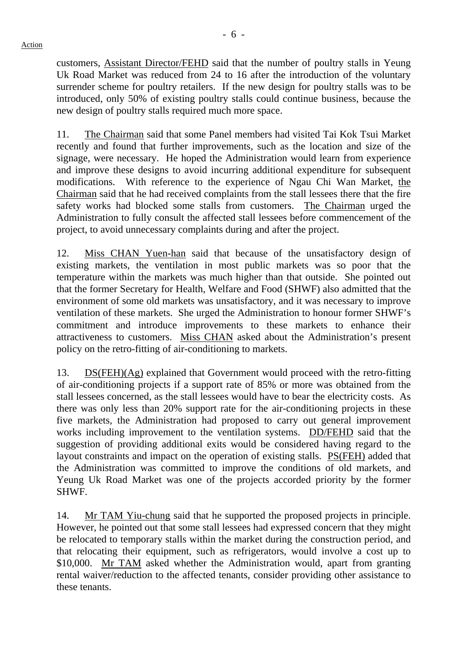customers, Assistant Director/FEHD said that the number of poultry stalls in Yeung Uk Road Market was reduced from 24 to 16 after the introduction of the voluntary surrender scheme for poultry retailers. If the new design for poultry stalls was to be introduced, only 50% of existing poultry stalls could continue business, because the new design of poultry stalls required much more space.

11. The Chairman said that some Panel members had visited Tai Kok Tsui Market recently and found that further improvements, such as the location and size of the signage, were necessary. He hoped the Administration would learn from experience and improve these designs to avoid incurring additional expenditure for subsequent modifications. With reference to the experience of Ngau Chi Wan Market, the Chairman said that he had received complaints from the stall lessees there that the fire safety works had blocked some stalls from customers. The Chairman urged the Administration to fully consult the affected stall lessees before commencement of the project, to avoid unnecessary complaints during and after the project.

12. Miss CHAN Yuen-han said that because of the unsatisfactory design of existing markets, the ventilation in most public markets was so poor that the temperature within the markets was much higher than that outside. She pointed out that the former Secretary for Health, Welfare and Food (SHWF) also admitted that the environment of some old markets was unsatisfactory, and it was necessary to improve ventilation of these markets. She urged the Administration to honour former SHWF's commitment and introduce improvements to these markets to enhance their attractiveness to customers. Miss CHAN asked about the Administration's present policy on the retro-fitting of air-conditioning to markets.

13. DS(FEH)(Ag) explained that Government would proceed with the retro-fitting of air-conditioning projects if a support rate of 85% or more was obtained from the stall lessees concerned, as the stall lessees would have to bear the electricity costs. As there was only less than 20% support rate for the air-conditioning projects in these five markets, the Administration had proposed to carry out general improvement works including improvement to the ventilation systems. DD/FEHD said that the suggestion of providing additional exits would be considered having regard to the layout constraints and impact on the operation of existing stalls. PS(FEH) added that the Administration was committed to improve the conditions of old markets, and Yeung Uk Road Market was one of the projects accorded priority by the former SHWF.

14. Mr TAM Yiu-chung said that he supported the proposed projects in principle. However, he pointed out that some stall lessees had expressed concern that they might be relocated to temporary stalls within the market during the construction period, and that relocating their equipment, such as refrigerators, would involve a cost up to \$10,000. Mr TAM asked whether the Administration would, apart from granting rental waiver/reduction to the affected tenants, consider providing other assistance to these tenants.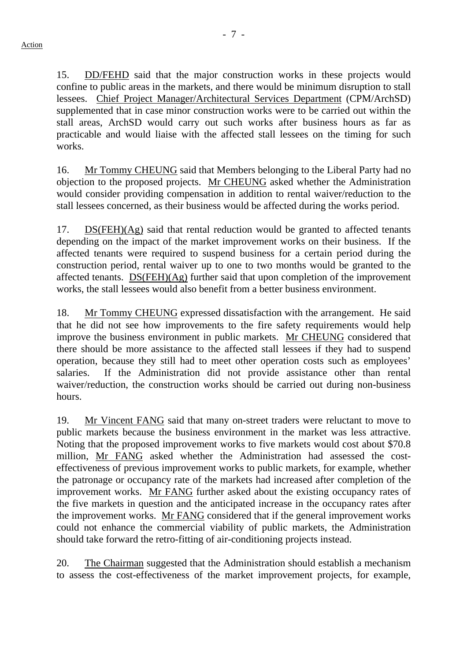15. DD/FEHD said that the major construction works in these projects would confine to public areas in the markets, and there would be minimum disruption to stall lessees. Chief Project Manager/Architectural Services Department (CPM/ArchSD) supplemented that in case minor construction works were to be carried out within the stall areas, ArchSD would carry out such works after business hours as far as practicable and would liaise with the affected stall lessees on the timing for such works.

16. Mr Tommy CHEUNG said that Members belonging to the Liberal Party had no objection to the proposed projects. Mr CHEUNG asked whether the Administration would consider providing compensation in addition to rental waiver/reduction to the stall lessees concerned, as their business would be affected during the works period.

17. DS(FEH)(Ag) said that rental reduction would be granted to affected tenants depending on the impact of the market improvement works on their business. If the affected tenants were required to suspend business for a certain period during the construction period, rental waiver up to one to two months would be granted to the affected tenants. DS(FEH)(Ag) further said that upon completion of the improvement works, the stall lessees would also benefit from a better business environment.

18. Mr Tommy CHEUNG expressed dissatisfaction with the arrangement. He said that he did not see how improvements to the fire safety requirements would help improve the business environment in public markets. Mr CHEUNG considered that there should be more assistance to the affected stall lessees if they had to suspend operation, because they still had to meet other operation costs such as employees' salaries. If the Administration did not provide assistance other than rental waiver/reduction, the construction works should be carried out during non-business hours.

19. Mr Vincent FANG said that many on-street traders were reluctant to move to public markets because the business environment in the market was less attractive. Noting that the proposed improvement works to five markets would cost about \$70.8 million, Mr FANG asked whether the Administration had assessed the costeffectiveness of previous improvement works to public markets, for example, whether the patronage or occupancy rate of the markets had increased after completion of the improvement works. Mr FANG further asked about the existing occupancy rates of the five markets in question and the anticipated increase in the occupancy rates after the improvement works. Mr FANG considered that if the general improvement works could not enhance the commercial viability of public markets, the Administration should take forward the retro-fitting of air-conditioning projects instead.

20. The Chairman suggested that the Administration should establish a mechanism to assess the cost-effectiveness of the market improvement projects, for example,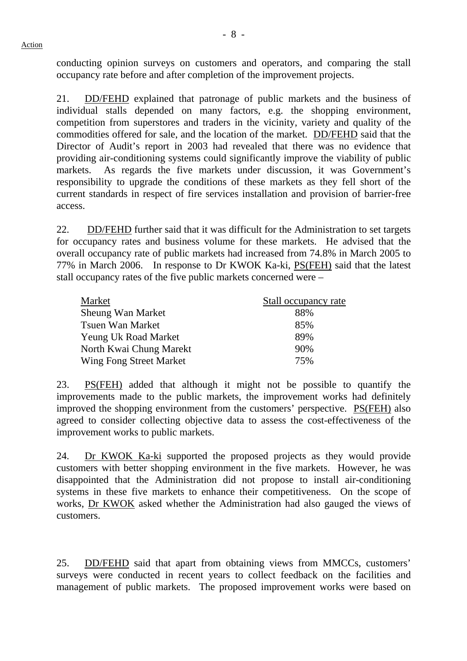conducting opinion surveys on customers and operators, and comparing the stall occupancy rate before and after completion of the improvement projects.

21. DD/FEHD explained that patronage of public markets and the business of individual stalls depended on many factors, e.g. the shopping environment, competition from superstores and traders in the vicinity, variety and quality of the commodities offered for sale, and the location of the market. DD/FEHD said that the Director of Audit's report in 2003 had revealed that there was no evidence that providing air-conditioning systems could significantly improve the viability of public markets. As regards the five markets under discussion, it was Government's responsibility to upgrade the conditions of these markets as they fell short of the current standards in respect of fire services installation and provision of barrier-free access.

22. DD/FEHD further said that it was difficult for the Administration to set targets for occupancy rates and business volume for these markets. He advised that the overall occupancy rate of public markets had increased from 74.8% in March 2005 to 77% in March 2006. In response to Dr KWOK Ka-ki, PS(FEH) said that the latest stall occupancy rates of the five public markets concerned were –

| Market                      | Stall occupancy rate |
|-----------------------------|----------------------|
| <b>Sheung Wan Market</b>    | 88%                  |
| <b>Tsuen Wan Market</b>     | 85%                  |
| <b>Yeung Uk Road Market</b> | 89%                  |
| North Kwai Chung Marekt     | 90%                  |
| Wing Fong Street Market     | 75%                  |

23. PS(FEH) added that although it might not be possible to quantify the improvements made to the public markets, the improvement works had definitely improved the shopping environment from the customers' perspective. PS(FEH) also agreed to consider collecting objective data to assess the cost-effectiveness of the improvement works to public markets.

24. Dr KWOK Ka-ki supported the proposed projects as they would provide customers with better shopping environment in the five markets. However, he was disappointed that the Administration did not propose to install air-conditioning systems in these five markets to enhance their competitiveness. On the scope of works, Dr KWOK asked whether the Administration had also gauged the views of customers.

25. DD/FEHD said that apart from obtaining views from MMCCs, customers' surveys were conducted in recent years to collect feedback on the facilities and management of public markets. The proposed improvement works were based on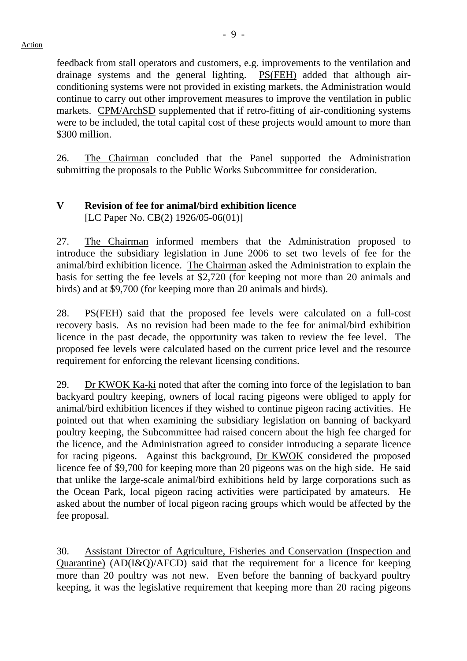feedback from stall operators and customers, e.g. improvements to the ventilation and drainage systems and the general lighting. PS(FEH) added that although airconditioning systems were not provided in existing markets, the Administration would continue to carry out other improvement measures to improve the ventilation in public markets. CPM/ArchSD supplemented that if retro-fitting of air-conditioning systems were to be included, the total capital cost of these projects would amount to more than \$300 million.

26. The Chairman concluded that the Panel supported the Administration submitting the proposals to the Public Works Subcommittee for consideration.

# **V Revision of fee for animal/bird exhibition licence**  [LC Paper No. CB(2) 1926/05-06(01)]

27. The Chairman informed members that the Administration proposed to introduce the subsidiary legislation in June 2006 to set two levels of fee for the animal/bird exhibition licence. The Chairman asked the Administration to explain the basis for setting the fee levels at \$2,720 (for keeping not more than 20 animals and birds) and at \$9,700 (for keeping more than 20 animals and birds).

28. PS(FEH) said that the proposed fee levels were calculated on a full-cost recovery basis. As no revision had been made to the fee for animal/bird exhibition licence in the past decade, the opportunity was taken to review the fee level. The proposed fee levels were calculated based on the current price level and the resource requirement for enforcing the relevant licensing conditions.

29. Dr KWOK Ka-ki noted that after the coming into force of the legislation to ban backyard poultry keeping, owners of local racing pigeons were obliged to apply for animal/bird exhibition licences if they wished to continue pigeon racing activities. He pointed out that when examining the subsidiary legislation on banning of backyard poultry keeping, the Subcommittee had raised concern about the high fee charged for the licence, and the Administration agreed to consider introducing a separate licence for racing pigeons. Against this background, Dr KWOK considered the proposed licence fee of \$9,700 for keeping more than 20 pigeons was on the high side. He said that unlike the large-scale animal/bird exhibitions held by large corporations such as the Ocean Park, local pigeon racing activities were participated by amateurs. He asked about the number of local pigeon racing groups which would be affected by the fee proposal.

30. Assistant Director of Agriculture, Fisheries and Conservation (Inspection and Quarantine) ( $AD(I&O)/AFCD$ ) said that the requirement for a licence for keeping more than 20 poultry was not new. Even before the banning of backyard poultry keeping, it was the legislative requirement that keeping more than 20 racing pigeons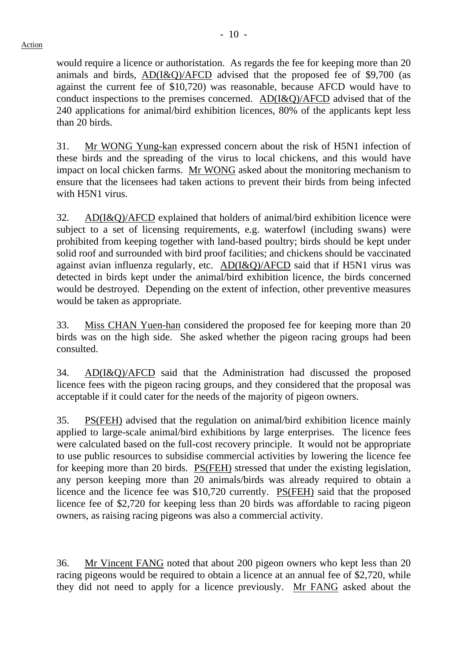would require a licence or authoristation. As regards the fee for keeping more than 20 animals and birds,  $AD(I&Q)/AFCD$  advised that the proposed fee of \$9,700 (as against the current fee of \$10,720) was reasonable, because AFCD would have to conduct inspections to the premises concerned. AD(I&Q)/AFCD advised that of the 240 applications for animal/bird exhibition licences, 80% of the applicants kept less than 20 birds.

31. Mr WONG Yung-kan expressed concern about the risk of H5N1 infection of these birds and the spreading of the virus to local chickens, and this would have impact on local chicken farms. Mr WONG asked about the monitoring mechanism to ensure that the licensees had taken actions to prevent their birds from being infected with H5N1 virus.

32. AD(I&Q)/AFCD explained that holders of animal/bird exhibition licence were subject to a set of licensing requirements, e.g. waterfowl (including swans) were prohibited from keeping together with land-based poultry; birds should be kept under solid roof and surrounded with bird proof facilities; and chickens should be vaccinated against avian influenza regularly, etc. AD(I&Q)/AFCD said that if H5N1 virus was detected in birds kept under the animal/bird exhibition licence, the birds concerned would be destroyed. Depending on the extent of infection, other preventive measures would be taken as appropriate.

33. Miss CHAN Yuen-han considered the proposed fee for keeping more than 20 birds was on the high side. She asked whether the pigeon racing groups had been consulted.

34. AD(I&Q)/AFCD said that the Administration had discussed the proposed licence fees with the pigeon racing groups, and they considered that the proposal was acceptable if it could cater for the needs of the majority of pigeon owners.

35. PS(FEH) advised that the regulation on animal/bird exhibition licence mainly applied to large-scale animal/bird exhibitions by large enterprises. The licence fees were calculated based on the full-cost recovery principle. It would not be appropriate to use public resources to subsidise commercial activities by lowering the licence fee for keeping more than 20 birds. PS(FEH) stressed that under the existing legislation, any person keeping more than 20 animals/birds was already required to obtain a licence and the licence fee was \$10,720 currently. PS(FEH) said that the proposed licence fee of \$2,720 for keeping less than 20 birds was affordable to racing pigeon owners, as raising racing pigeons was also a commercial activity.

36. Mr Vincent FANG noted that about 200 pigeon owners who kept less than 20 racing pigeons would be required to obtain a licence at an annual fee of \$2,720, while they did not need to apply for a licence previously. Mr FANG asked about the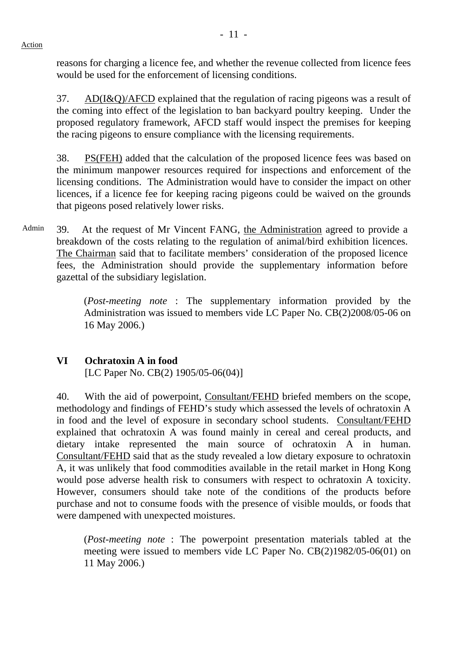reasons for charging a licence fee, and whether the revenue collected from licence fees would be used for the enforcement of licensing conditions.

37. AD(I&Q)/AFCD explained that the regulation of racing pigeons was a result of the coming into effect of the legislation to ban backyard poultry keeping. Under the proposed regulatory framework, AFCD staff would inspect the premises for keeping the racing pigeons to ensure compliance with the licensing requirements.

38. PS(FEH) added that the calculation of the proposed licence fees was based on the minimum manpower resources required for inspections and enforcement of the licensing conditions. The Administration would have to consider the impact on other licences, if a licence fee for keeping racing pigeons could be waived on the grounds that pigeons posed relatively lower risks.

Admin 39. At the request of Mr Vincent FANG, the Administration agreed to provide a breakdown of the costs relating to the regulation of animal/bird exhibition licences. The Chairman said that to facilitate members' consideration of the proposed licence fees, the Administration should provide the supplementary information before gazettal of the subsidiary legislation.

> (*Post-meeting note* : The supplementary information provided by the Administration was issued to members vide LC Paper No. CB(2)2008/05-06 on 16 May 2006.)

## **VI Ochratoxin A in food**

[LC Paper No. CB(2) 1905/05-06(04)]

40. With the aid of powerpoint, Consultant/FEHD briefed members on the scope, methodology and findings of FEHD's study which assessed the levels of ochratoxin A in food and the level of exposure in secondary school students. Consultant/FEHD explained that ochratoxin A was found mainly in cereal and cereal products, and dietary intake represented the main source of ochratoxin A in human. Consultant/FEHD said that as the study revealed a low dietary exposure to ochratoxin A, it was unlikely that food commodities available in the retail market in Hong Kong would pose adverse health risk to consumers with respect to ochratoxin A toxicity. However, consumers should take note of the conditions of the products before purchase and not to consume foods with the presence of visible moulds, or foods that were dampened with unexpected moistures.

(*Post-meeting note* : The powerpoint presentation materials tabled at the meeting were issued to members vide LC Paper No. CB(2)1982/05-06(01) on 11 May 2006.)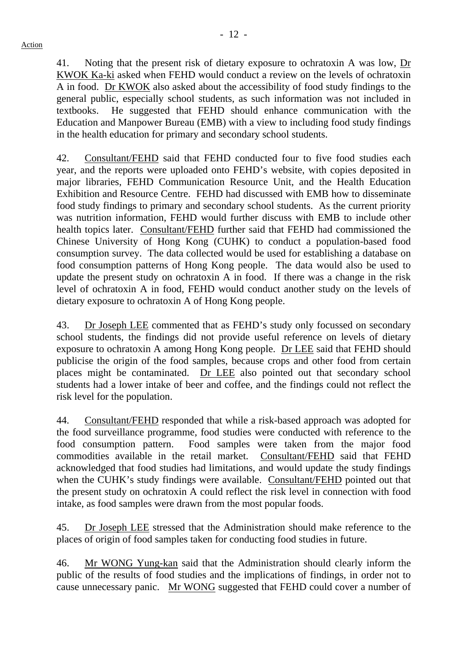- 12 -

41. Noting that the present risk of dietary exposure to ochratoxin A was low, Dr KWOK Ka-ki asked when FEHD would conduct a review on the levels of ochratoxin A in food. Dr KWOK also asked about the accessibility of food study findings to the general public, especially school students, as such information was not included in textbooks. He suggested that FEHD should enhance communication with the Education and Manpower Bureau (EMB) with a view to including food study findings in the health education for primary and secondary school students.

42. Consultant/FEHD said that FEHD conducted four to five food studies each year, and the reports were uploaded onto FEHD's website, with copies deposited in major libraries, FEHD Communication Resource Unit, and the Health Education Exhibition and Resource Centre. FEHD had discussed with EMB how to disseminate food study findings to primary and secondary school students. As the current priority was nutrition information, FEHD would further discuss with EMB to include other health topics later. Consultant/FEHD further said that FEHD had commissioned the Chinese University of Hong Kong (CUHK) to conduct a population-based food consumption survey. The data collected would be used for establishing a database on food consumption patterns of Hong Kong people. The data would also be used to update the present study on ochratoxin A in food. If there was a change in the risk level of ochratoxin A in food, FEHD would conduct another study on the levels of dietary exposure to ochratoxin A of Hong Kong people.

43. Dr Joseph LEE commented that as FEHD's study only focussed on secondary school students, the findings did not provide useful reference on levels of dietary exposure to ochratoxin A among Hong Kong people. Dr LEE said that FEHD should publicise the origin of the food samples, because crops and other food from certain places might be contaminated. Dr LEE also pointed out that secondary school students had a lower intake of beer and coffee, and the findings could not reflect the risk level for the population.

44. Consultant/FEHD responded that while a risk-based approach was adopted for the food surveillance programme, food studies were conducted with reference to the food consumption pattern. Food samples were taken from the major food commodities available in the retail market. Consultant/FEHD said that FEHD acknowledged that food studies had limitations, and would update the study findings when the CUHK's study findings were available. Consultant/FEHD pointed out that the present study on ochratoxin A could reflect the risk level in connection with food intake, as food samples were drawn from the most popular foods.

45. Dr Joseph LEE stressed that the Administration should make reference to the places of origin of food samples taken for conducting food studies in future.

46. Mr WONG Yung-kan said that the Administration should clearly inform the public of the results of food studies and the implications of findings, in order not to cause unnecessary panic. Mr WONG suggested that FEHD could cover a number of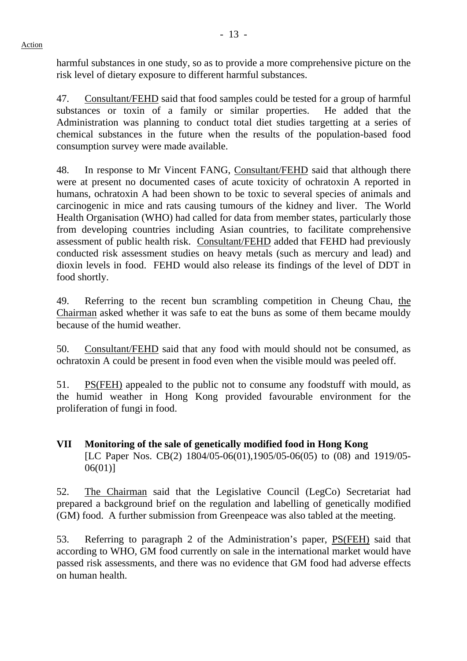harmful substances in one study, so as to provide a more comprehensive picture on the risk level of dietary exposure to different harmful substances.

47. Consultant/FEHD said that food samples could be tested for a group of harmful substances or toxin of a family or similar properties. He added that the Administration was planning to conduct total diet studies targetting at a series of chemical substances in the future when the results of the population-based food consumption survey were made available.

48. In response to Mr Vincent FANG, Consultant/FEHD said that although there were at present no documented cases of acute toxicity of ochratoxin A reported in humans, ochratoxin A had been shown to be toxic to several species of animals and carcinogenic in mice and rats causing tumours of the kidney and liver. The World Health Organisation (WHO) had called for data from member states, particularly those from developing countries including Asian countries, to facilitate comprehensive assessment of public health risk. Consultant/FEHD added that FEHD had previously conducted risk assessment studies on heavy metals (such as mercury and lead) and dioxin levels in food. FEHD would also release its findings of the level of DDT in food shortly.

49. Referring to the recent bun scrambling competition in Cheung Chau, the Chairman asked whether it was safe to eat the buns as some of them became mouldy because of the humid weather.

50. Consultant/FEHD said that any food with mould should not be consumed, as ochratoxin A could be present in food even when the visible mould was peeled off.

51. PS(FEH) appealed to the public not to consume any foodstuff with mould, as the humid weather in Hong Kong provided favourable environment for the proliferation of fungi in food.

**VII Monitoring of the sale of genetically modified food in Hong Kong**  [LC Paper Nos. CB(2) 1804/05-06(01),1905/05-06(05) to (08) and 1919/05- 06(01)]

52. The Chairman said that the Legislative Council (LegCo) Secretariat had prepared a background brief on the regulation and labelling of genetically modified (GM) food. A further submission from Greenpeace was also tabled at the meeting.

53. Referring to paragraph 2 of the Administration's paper, PS(FEH) said that according to WHO, GM food currently on sale in the international market would have passed risk assessments, and there was no evidence that GM food had adverse effects on human health.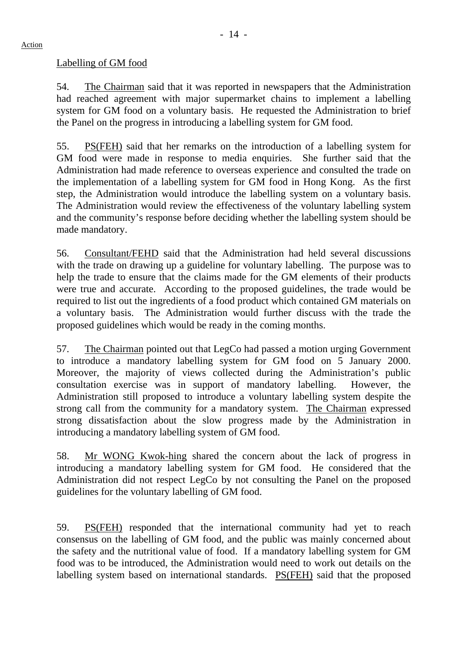## Labelling of GM food

54. The Chairman said that it was reported in newspapers that the Administration had reached agreement with major supermarket chains to implement a labelling system for GM food on a voluntary basis. He requested the Administration to brief the Panel on the progress in introducing a labelling system for GM food.

55. PS(FEH) said that her remarks on the introduction of a labelling system for GM food were made in response to media enquiries. She further said that the Administration had made reference to overseas experience and consulted the trade on the implementation of a labelling system for GM food in Hong Kong. As the first step, the Administration would introduce the labelling system on a voluntary basis. The Administration would review the effectiveness of the voluntary labelling system and the community's response before deciding whether the labelling system should be made mandatory.

56. Consultant/FEHD said that the Administration had held several discussions with the trade on drawing up a guideline for voluntary labelling. The purpose was to help the trade to ensure that the claims made for the GM elements of their products were true and accurate. According to the proposed guidelines, the trade would be required to list out the ingredients of a food product which contained GM materials on a voluntary basis. The Administration would further discuss with the trade the proposed guidelines which would be ready in the coming months.

57. The Chairman pointed out that LegCo had passed a motion urging Government to introduce a mandatory labelling system for GM food on 5 January 2000. Moreover, the majority of views collected during the Administration's public consultation exercise was in support of mandatory labelling. However, the Administration still proposed to introduce a voluntary labelling system despite the strong call from the community for a mandatory system. The Chairman expressed strong dissatisfaction about the slow progress made by the Administration in introducing a mandatory labelling system of GM food.

58. Mr WONG Kwok-hing shared the concern about the lack of progress in introducing a mandatory labelling system for GM food. He considered that the Administration did not respect LegCo by not consulting the Panel on the proposed guidelines for the voluntary labelling of GM food.

59. PS(FEH) responded that the international community had yet to reach consensus on the labelling of GM food, and the public was mainly concerned about the safety and the nutritional value of food. If a mandatory labelling system for GM food was to be introduced, the Administration would need to work out details on the labelling system based on international standards. PS(FEH) said that the proposed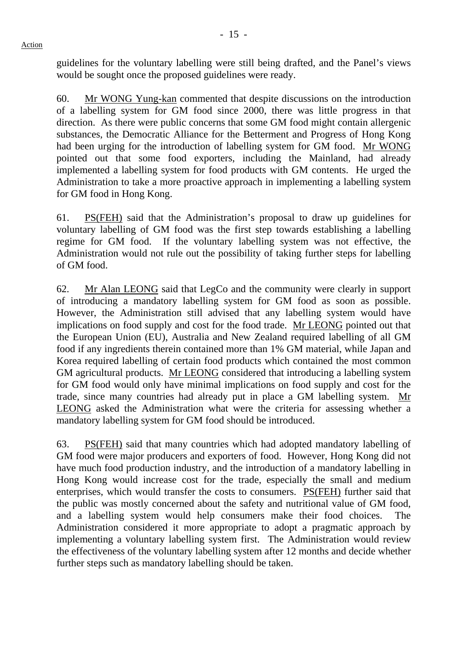guidelines for the voluntary labelling were still being drafted, and the Panel's views would be sought once the proposed guidelines were ready.

60. Mr WONG Yung-kan commented that despite discussions on the introduction of a labelling system for GM food since 2000, there was little progress in that direction. As there were public concerns that some GM food might contain allergenic substances, the Democratic Alliance for the Betterment and Progress of Hong Kong had been urging for the introduction of labelling system for GM food. Mr WONG pointed out that some food exporters, including the Mainland, had already implemented a labelling system for food products with GM contents. He urged the Administration to take a more proactive approach in implementing a labelling system for GM food in Hong Kong.

61. PS(FEH) said that the Administration's proposal to draw up guidelines for voluntary labelling of GM food was the first step towards establishing a labelling regime for GM food. If the voluntary labelling system was not effective, the Administration would not rule out the possibility of taking further steps for labelling of GM food.

62. Mr Alan LEONG said that LegCo and the community were clearly in support of introducing a mandatory labelling system for GM food as soon as possible. However, the Administration still advised that any labelling system would have implications on food supply and cost for the food trade. Mr LEONG pointed out that the European Union (EU), Australia and New Zealand required labelling of all GM food if any ingredients therein contained more than 1% GM material, while Japan and Korea required labelling of certain food products which contained the most common GM agricultural products. Mr LEONG considered that introducing a labelling system for GM food would only have minimal implications on food supply and cost for the trade, since many countries had already put in place a GM labelling system. Mr LEONG asked the Administration what were the criteria for assessing whether a mandatory labelling system for GM food should be introduced.

63. PS(FEH) said that many countries which had adopted mandatory labelling of GM food were major producers and exporters of food. However, Hong Kong did not have much food production industry, and the introduction of a mandatory labelling in Hong Kong would increase cost for the trade, especially the small and medium enterprises, which would transfer the costs to consumers. PS(FEH) further said that the public was mostly concerned about the safety and nutritional value of GM food, and a labelling system would help consumers make their food choices. The Administration considered it more appropriate to adopt a pragmatic approach by implementing a voluntary labelling system first. The Administration would review the effectiveness of the voluntary labelling system after 12 months and decide whether further steps such as mandatory labelling should be taken.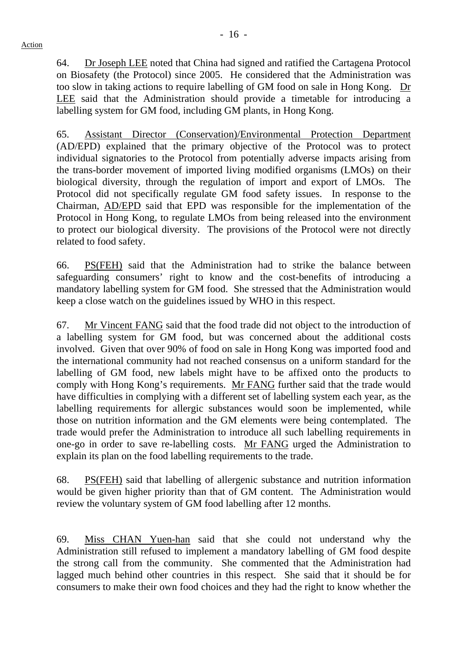64. Dr Joseph LEE noted that China had signed and ratified the Cartagena Protocol on Biosafety (the Protocol) since 2005. He considered that the Administration was too slow in taking actions to require labelling of GM food on sale in Hong Kong. Dr LEE said that the Administration should provide a timetable for introducing a labelling system for GM food, including GM plants, in Hong Kong.

65. Assistant Director (Conservation)/Environmental Protection Department (AD/EPD) explained that the primary objective of the Protocol was to protect individual signatories to the Protocol from potentially adverse impacts arising from the trans-border movement of imported living modified organisms (LMOs) on their biological diversity, through the regulation of import and export of LMOs. The Protocol did not specifically regulate GM food safety issues. In response to the Chairman, AD/EPD said that EPD was responsible for the implementation of the Protocol in Hong Kong, to regulate LMOs from being released into the environment to protect our biological diversity. The provisions of the Protocol were not directly related to food safety.

66. PS(FEH) said that the Administration had to strike the balance between safeguarding consumers' right to know and the cost-benefits of introducing a mandatory labelling system for GM food. She stressed that the Administration would keep a close watch on the guidelines issued by WHO in this respect.

67. Mr Vincent FANG said that the food trade did not object to the introduction of a labelling system for GM food, but was concerned about the additional costs involved. Given that over 90% of food on sale in Hong Kong was imported food and the international community had not reached consensus on a uniform standard for the labelling of GM food, new labels might have to be affixed onto the products to comply with Hong Kong's requirements. Mr FANG further said that the trade would have difficulties in complying with a different set of labelling system each year, as the labelling requirements for allergic substances would soon be implemented, while those on nutrition information and the GM elements were being contemplated. The trade would prefer the Administration to introduce all such labelling requirements in one-go in order to save re-labelling costs. Mr FANG urged the Administration to explain its plan on the food labelling requirements to the trade.

68. PS(FEH) said that labelling of allergenic substance and nutrition information would be given higher priority than that of GM content. The Administration would review the voluntary system of GM food labelling after 12 months.

69. Miss CHAN Yuen-han said that she could not understand why the Administration still refused to implement a mandatory labelling of GM food despite the strong call from the community. She commented that the Administration had lagged much behind other countries in this respect. She said that it should be for consumers to make their own food choices and they had the right to know whether the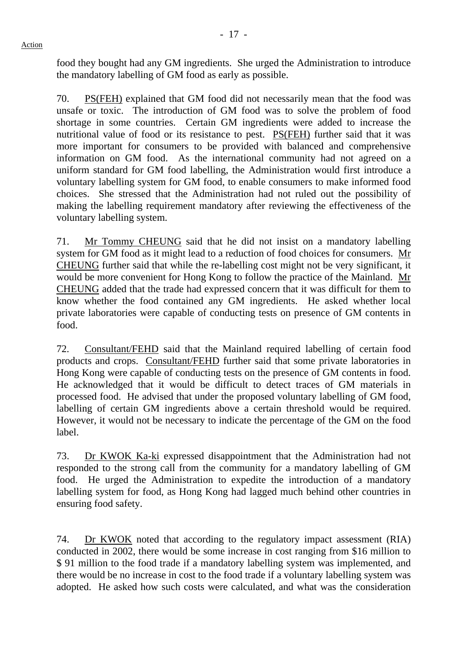food they bought had any GM ingredients. She urged the Administration to introduce the mandatory labelling of GM food as early as possible.

70. PS(FEH) explained that GM food did not necessarily mean that the food was unsafe or toxic. The introduction of GM food was to solve the problem of food shortage in some countries. Certain GM ingredients were added to increase the nutritional value of food or its resistance to pest. PS(FEH) further said that it was more important for consumers to be provided with balanced and comprehensive information on GM food. As the international community had not agreed on a uniform standard for GM food labelling, the Administration would first introduce a voluntary labelling system for GM food, to enable consumers to make informed food choices. She stressed that the Administration had not ruled out the possibility of making the labelling requirement mandatory after reviewing the effectiveness of the voluntary labelling system.

71. Mr Tommy CHEUNG said that he did not insist on a mandatory labelling system for GM food as it might lead to a reduction of food choices for consumers. Mr CHEUNG further said that while the re-labelling cost might not be very significant, it would be more convenient for Hong Kong to follow the practice of the Mainland. Mr CHEUNG added that the trade had expressed concern that it was difficult for them to know whether the food contained any GM ingredients. He asked whether local private laboratories were capable of conducting tests on presence of GM contents in food.

72. Consultant/FEHD said that the Mainland required labelling of certain food products and crops. Consultant/FEHD further said that some private laboratories in Hong Kong were capable of conducting tests on the presence of GM contents in food. He acknowledged that it would be difficult to detect traces of GM materials in processed food. He advised that under the proposed voluntary labelling of GM food, labelling of certain GM ingredients above a certain threshold would be required. However, it would not be necessary to indicate the percentage of the GM on the food label.

73. Dr KWOK Ka-ki expressed disappointment that the Administration had not responded to the strong call from the community for a mandatory labelling of GM food. He urged the Administration to expedite the introduction of a mandatory labelling system for food, as Hong Kong had lagged much behind other countries in ensuring food safety.

74. Dr KWOK noted that according to the regulatory impact assessment (RIA) conducted in 2002, there would be some increase in cost ranging from \$16 million to \$ 91 million to the food trade if a mandatory labelling system was implemented, and there would be no increase in cost to the food trade if a voluntary labelling system was adopted. He asked how such costs were calculated, and what was the consideration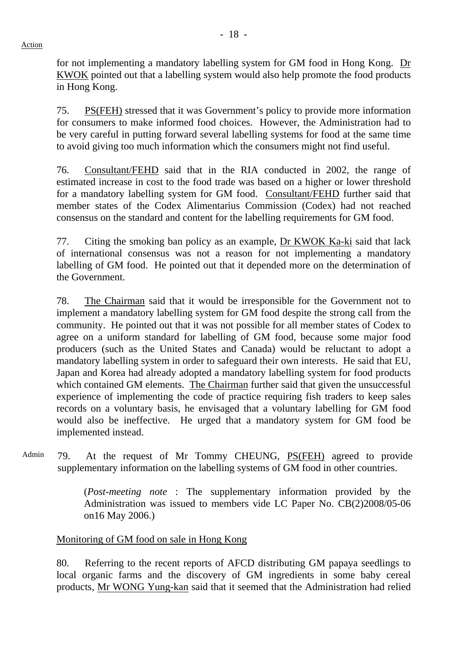Action

for not implementing a mandatory labelling system for GM food in Hong Kong. Dr KWOK pointed out that a labelling system would also help promote the food products in Hong Kong.

75. PS(FEH) stressed that it was Government's policy to provide more information for consumers to make informed food choices. However, the Administration had to be very careful in putting forward several labelling systems for food at the same time to avoid giving too much information which the consumers might not find useful.

76. Consultant/FEHD said that in the RIA conducted in 2002, the range of estimated increase in cost to the food trade was based on a higher or lower threshold for a mandatory labelling system for GM food. Consultant/FEHD further said that member states of the Codex Alimentarius Commission (Codex) had not reached consensus on the standard and content for the labelling requirements for GM food.

77. Citing the smoking ban policy as an example, Dr KWOK Ka-ki said that lack of international consensus was not a reason for not implementing a mandatory labelling of GM food. He pointed out that it depended more on the determination of the Government.

78. The Chairman said that it would be irresponsible for the Government not to implement a mandatory labelling system for GM food despite the strong call from the community. He pointed out that it was not possible for all member states of Codex to agree on a uniform standard for labelling of GM food, because some major food producers (such as the United States and Canada) would be reluctant to adopt a mandatory labelling system in order to safeguard their own interests. He said that EU, Japan and Korea had already adopted a mandatory labelling system for food products which contained GM elements. The Chairman further said that given the unsuccessful experience of implementing the code of practice requiring fish traders to keep sales records on a voluntary basis, he envisaged that a voluntary labelling for GM food would also be ineffective. He urged that a mandatory system for GM food be implemented instead.

Admin 79. At the request of Mr Tommy CHEUNG, PS(FEH) agreed to provide supplementary information on the labelling systems of GM food in other countries.

> (*Post-meeting note* : The supplementary information provided by the Administration was issued to members vide LC Paper No. CB(2)2008/05-06 on16 May 2006.)

# Monitoring of GM food on sale in Hong Kong

80. Referring to the recent reports of AFCD distributing GM papaya seedlings to local organic farms and the discovery of GM ingredients in some baby cereal products, Mr WONG Yung-kan said that it seemed that the Administration had relied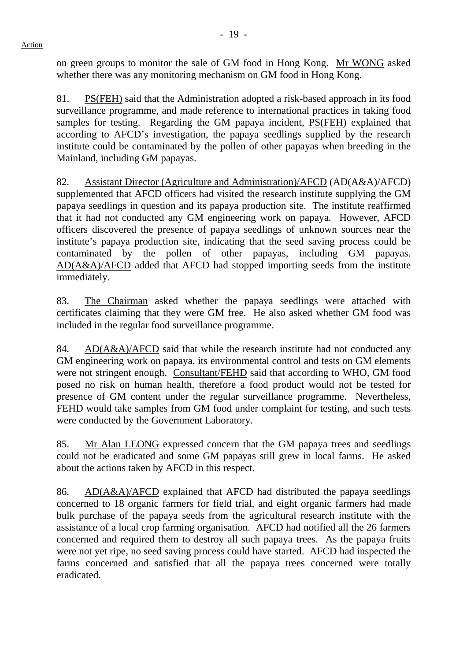on green groups to monitor the sale of GM food in Hong Kong. Mr WONG asked whether there was any monitoring mechanism on GM food in Hong Kong.

81. PS(FEH) said that the Administration adopted a risk-based approach in its food surveillance programme, and made reference to international practices in taking food samples for testing. Regarding the GM papaya incident, PS(FEH) explained that according to AFCD's investigation, the papaya seedlings supplied by the research institute could be contaminated by the pollen of other papayas when breeding in the Mainland, including GM papayas.

82. Assistant Director (Agriculture and Administration)/AFCD (AD(A&A)/AFCD) supplemented that AFCD officers had visited the research institute supplying the GM papaya seedlings in question and its papaya production site. The institute reaffirmed that it had not conducted any GM engineering work on papaya. However, AFCD officers discovered the presence of papaya seedlings of unknown sources near the institute's papaya production site, indicating that the seed saving process could be contaminated by the pollen of other papayas, including GM papayas. AD(A&A)/AFCD added that AFCD had stopped importing seeds from the institute immediately.

83. The Chairman asked whether the papaya seedlings were attached with certificates claiming that they were GM free. He also asked whether GM food was included in the regular food surveillance programme.

84. AD(A&A)/AFCD said that while the research institute had not conducted any GM engineering work on papaya, its environmental control and tests on GM elements were not stringent enough. Consultant/FEHD said that according to WHO, GM food posed no risk on human health, therefore a food product would not be tested for presence of GM content under the regular surveillance programme. Nevertheless, FEHD would take samples from GM food under complaint for testing, and such tests were conducted by the Government Laboratory.

85. Mr Alan LEONG expressed concern that the GM papaya trees and seedlings could not be eradicated and some GM papayas still grew in local farms. He asked about the actions taken by AFCD in this respect.

86. AD(A&A)/AFCD explained that AFCD had distributed the papaya seedlings concerned to 18 organic farmers for field trial, and eight organic farmers had made bulk purchase of the papaya seeds from the agricultural research institute with the assistance of a local crop farming organisation. AFCD had notified all the 26 farmers concerned and required them to destroy all such papaya trees. As the papaya fruits were not yet ripe, no seed saving process could have started. AFCD had inspected the farms concerned and satisfied that all the papaya trees concerned were totally eradicated.